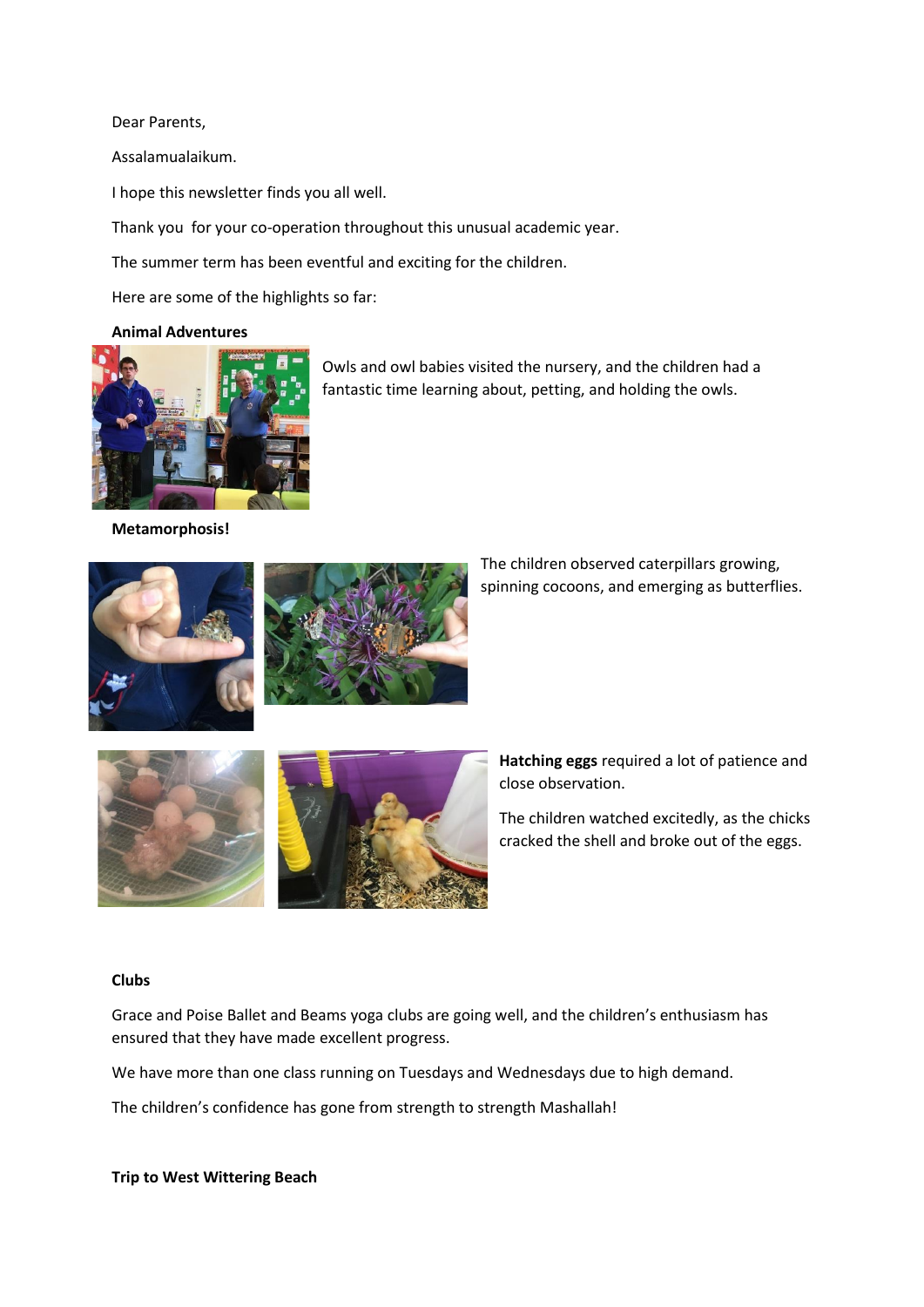Dear Parents,

Assalamualaikum.

I hope this newsletter finds you all well.

Thank you for your co-operation throughout this unusual academic year.

The summer term has been eventful and exciting for the children.

Here are some of the highlights so far:

#### **Animal Adventures**



Owls and owl babies visited the nursery, and the children had a fantastic time learning about, petting, and holding the owls.

**Metamorphosis!**



The children observed caterpillars growing, spinning cocoons, and emerging as butterflies.



**Hatching eggs** required a lot of patience and close observation.

The children watched excitedly, as the chicks cracked the shell and broke out of the eggs.

#### **Clubs**

Grace and Poise Ballet and Beams yoga clubs are going well, and the children's enthusiasm has ensured that they have made excellent progress.

We have more than one class running on Tuesdays and Wednesdays due to high demand.

The children's confidence has gone from strength to strength Mashallah!

**Trip to West Wittering Beach**